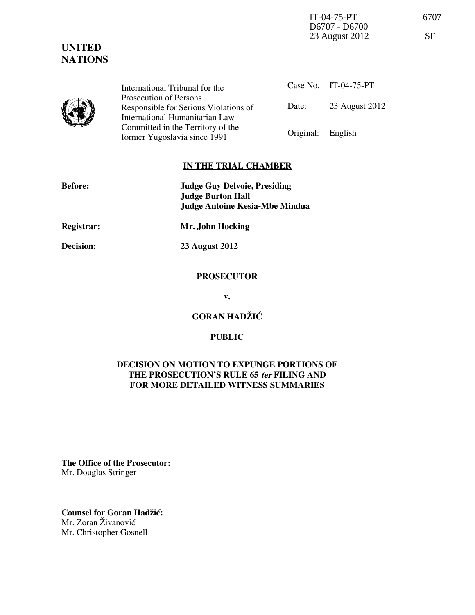IT-04-75-PT 6707 D6707 - D6700 23 August 2012 SF

# **UNITED NATIONS**

|  | International Tribunal for the                                                                      |                   | Case No. IT-04-75-PT |
|--|-----------------------------------------------------------------------------------------------------|-------------------|----------------------|
|  | Prosecution of Persons<br>Responsible for Serious Violations of                                     | Date:             | 23 August 2012       |
|  | International Humanitarian Law<br>Committed in the Territory of the<br>former Yugoslavia since 1991 | Original: English |                      |

# **IN THE TRIAL CHAMBER**

| <b>Before:</b> | <b>Judge Guy Delvoie, Presiding</b>   |  |
|----------------|---------------------------------------|--|
|                | <b>Judge Burton Hall</b>              |  |
|                | <b>Judge Antoine Kesia-Mbe Mindua</b> |  |
| Registrar:     | Mr. John Hocking                      |  |

**Decision: 23 August 2012** 

### **PROSECUTOR**

**v.** 

**GORAN HADŽIĆ** 

# **PUBLIC**

# **DECISION ON MOTION TO EXPUNGE PORTIONS OF THE PROSECUTION'S RULE 65 ter FILING AND FOR MORE DETAILED WITNESS SUMMARIES**

**The Office of the Prosecutor:** Mr. Douglas Stringer

**Counsel for Goran Hadžić:** Mr. Zoran Živanović Mr. Christopher Gosnell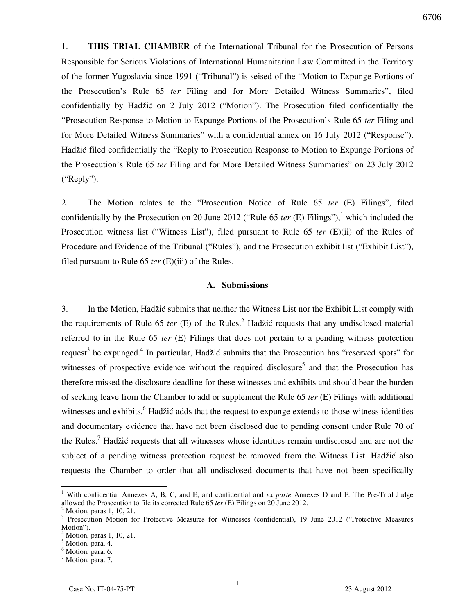6706

1. **THIS TRIAL CHAMBER** of the International Tribunal for the Prosecution of Persons Responsible for Serious Violations of International Humanitarian Law Committed in the Territory of the former Yugoslavia since 1991 ("Tribunal") is seised of the "Motion to Expunge Portions of the Prosecution's Rule 65 *ter* Filing and for More Detailed Witness Summaries", filed confidentially by Hadžić on 2 July 2012 ("Motion"). The Prosecution filed confidentially the "Prosecution Response to Motion to Expunge Portions of the Prosecution's Rule 65 *ter* Filing and for More Detailed Witness Summaries" with a confidential annex on 16 July 2012 ("Response"). Hadžić filed confidentially the "Reply to Prosecution Response to Motion to Expunge Portions of the Prosecution's Rule 65 *ter* Filing and for More Detailed Witness Summaries" on 23 July 2012 ("Reply").

2. The Motion relates to the "Prosecution Notice of Rule 65 *ter* (E) Filings", filed confidentially by the Prosecution on 20 June 2012 ("Rule 65 *ter*  $(E)$  Filings"),<sup>1</sup> which included the Prosecution witness list ("Witness List"), filed pursuant to Rule 65 *ter* (E)(ii) of the Rules of Procedure and Evidence of the Tribunal ("Rules"), and the Prosecution exhibit list ("Exhibit List"), filed pursuant to Rule 65 *ter* (E)(iii) of the Rules.

#### **A. Submissions**

3. In the Motion, Hadžić submits that neither the Witness List nor the Exhibit List comply with the requirements of Rule 65 *ter* (E) of the Rules.<sup>2</sup> Hadžić requests that any undisclosed material referred to in the Rule 65 *ter* (E) Filings that does not pertain to a pending witness protection request<sup>3</sup> be expunged.<sup>4</sup> In particular, Hadžić submits that the Prosecution has "reserved spots" for witnesses of prospective evidence without the required disclosure<sup>5</sup> and that the Prosecution has therefore missed the disclosure deadline for these witnesses and exhibits and should bear the burden of seeking leave from the Chamber to add or supplement the Rule 65 *ter* (E) Filings with additional witnesses and exhibits.<sup>6</sup> Hadžić adds that the request to expunge extends to those witness identities and documentary evidence that have not been disclosed due to pending consent under Rule 70 of the Rules.<sup>7</sup> Hadžić requests that all witnesses whose identities remain undisclosed and are not the subject of a pending witness protection request be removed from the Witness List. Hadžić also requests the Chamber to order that all undisclosed documents that have not been specifically

<sup>&</sup>lt;sup>1</sup> With confidential Annexes A, B, C, and E, and confidential and *ex parte* Annexes D and F. The Pre-Trial Judge allowed the Prosecution to file its corrected Rule 65 *ter* (E) Filings on 20 June 2012. 2

Motion, paras 1, 10, 21.

<sup>&</sup>lt;sup>3</sup> Prosecution Motion for Protective Measures for Witnesses (confidential), 19 June 2012 ("Protective Measures Motion").

<sup>4</sup> Motion, paras 1, 10, 21.

<sup>5</sup> Motion, para. 4.

<sup>&</sup>lt;sup>6</sup> Motion, para. 6.

<sup>&</sup>lt;sup>7</sup> Motion, para. 7.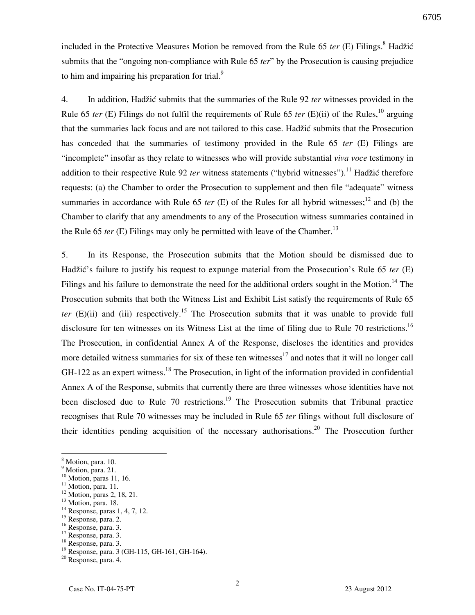included in the Protective Measures Motion be removed from the Rule 65 *ter* (E) Filings.<sup>8</sup> Hadžić submits that the "ongoing non-compliance with Rule 65 *ter*" by the Prosecution is causing prejudice to him and impairing his preparation for trial. $\frac{9}{2}$ 

4. In addition, Hadžić submits that the summaries of the Rule 92 *ter* witnesses provided in the Rule 65 *ter* (E) Filings do not fulfil the requirements of Rule 65 *ter* (E)(ii) of the Rules,<sup>10</sup> arguing that the summaries lack focus and are not tailored to this case. Hadžić submits that the Prosecution has conceded that the summaries of testimony provided in the Rule 65 *ter* (E) Filings are "incomplete" insofar as they relate to witnesses who will provide substantial *viva voce* testimony in addition to their respective Rule 92 *ter* witness statements ("hybrid witnesses").<sup>11</sup> Hadžić therefore requests: (a) the Chamber to order the Prosecution to supplement and then file "adequate" witness summaries in accordance with Rule 65 *ter* (E) of the Rules for all hybrid witnesses;<sup>12</sup> and (b) the Chamber to clarify that any amendments to any of the Prosecution witness summaries contained in the Rule 65 *ter* (E) Filings may only be permitted with leave of the Chamber.<sup>13</sup>

5. In its Response, the Prosecution submits that the Motion should be dismissed due to Hadžić's failure to justify his request to expunge material from the Prosecution's Rule 65 *ter* (E) Filings and his failure to demonstrate the need for the additional orders sought in the Motion.<sup>14</sup> The Prosecution submits that both the Witness List and Exhibit List satisfy the requirements of Rule 65 *ter* (E)(ii) and (iii) respectively.<sup>15</sup> The Prosecution submits that it was unable to provide full disclosure for ten witnesses on its Witness List at the time of filing due to Rule 70 restrictions.<sup>16</sup> The Prosecution, in confidential Annex A of the Response, discloses the identities and provides more detailed witness summaries for six of these ten witnesses<sup>17</sup> and notes that it will no longer call GH-122 as an expert witness.<sup>18</sup> The Prosecution, in light of the information provided in confidential Annex A of the Response, submits that currently there are three witnesses whose identities have not been disclosed due to Rule  $70$  restrictions.<sup>19</sup> The Prosecution submits that Tribunal practice recognises that Rule 70 witnesses may be included in Rule 65 *ter* filings without full disclosure of their identities pending acquisition of the necessary authorisations.<sup>20</sup> The Prosecution further

 $\overline{a}$ 

<sup>16</sup> Response, para. 3.

<sup>18</sup> Response, para. 3.

<sup>&</sup>lt;sup>8</sup> Motion, para. 10.

<sup>&</sup>lt;sup>9</sup> Motion, para. 21. <sup>10</sup> Motion, paras 11, 16.

 $11$  Motion, para. 11.

<sup>&</sup>lt;sup>12</sup> Motion, paras 2, 18, 21.

<sup>&</sup>lt;sup>13</sup> Motion, para. 18.

<sup>&</sup>lt;sup>14</sup> Response, paras 1, 4, 7, 12.

<sup>&</sup>lt;sup>15</sup> Response, para. 2.

<sup>&</sup>lt;sup>17</sup> Response, para. 3.

<sup>&</sup>lt;sup>19</sup> Response, para. 3 (GH-115, GH-161, GH-164).

<sup>20</sup> Response, para. 4.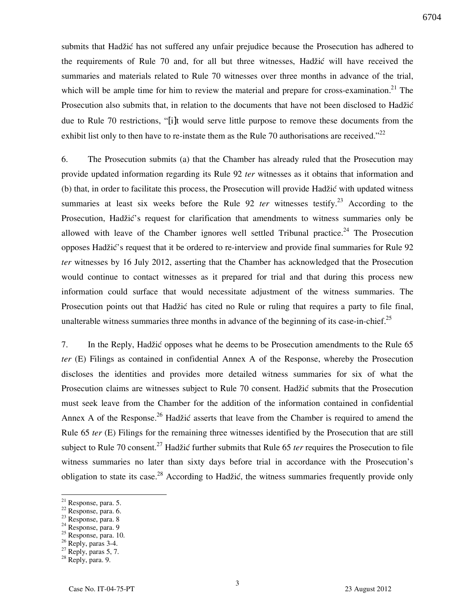submits that Hadžić has not suffered any unfair prejudice because the Prosecution has adhered to the requirements of Rule 70 and, for all but three witnesses, Hadžić will have received the summaries and materials related to Rule 70 witnesses over three months in advance of the trial, which will be ample time for him to review the material and prepare for cross-examination.<sup>21</sup> The Prosecution also submits that, in relation to the documents that have not been disclosed to Hadžić due to Rule 70 restrictions, "[i]t would serve little purpose to remove these documents from the exhibit list only to then have to re-instate them as the Rule 70 authorisations are received."<sup>22</sup>

6. The Prosecution submits (a) that the Chamber has already ruled that the Prosecution may provide updated information regarding its Rule 92 *ter* witnesses as it obtains that information and (b) that, in order to facilitate this process, the Prosecution will provide Hadžić with updated witness summaries at least six weeks before the Rule 92 *ter* witnesses testify.<sup>23</sup> According to the Prosecution, Hadžić's request for clarification that amendments to witness summaries only be allowed with leave of the Chamber ignores well settled Tribunal practice.<sup>24</sup> The Prosecution opposes Hadžić's request that it be ordered to re-interview and provide final summaries for Rule 92 *ter* witnesses by 16 July 2012, asserting that the Chamber has acknowledged that the Prosecution would continue to contact witnesses as it prepared for trial and that during this process new information could surface that would necessitate adjustment of the witness summaries. The Prosecution points out that Hadžić has cited no Rule or ruling that requires a party to file final, unalterable witness summaries three months in advance of the beginning of its case-in-chief.<sup>25</sup>

7. In the Reply, Hadžić opposes what he deems to be Prosecution amendments to the Rule 65 *ter* (E) Filings as contained in confidential Annex A of the Response, whereby the Prosecution discloses the identities and provides more detailed witness summaries for six of what the Prosecution claims are witnesses subject to Rule 70 consent. Hadžić submits that the Prosecution must seek leave from the Chamber for the addition of the information contained in confidential Annex A of the Response.<sup>26</sup> Hadžić asserts that leave from the Chamber is required to amend the Rule 65 *ter* (E) Filings for the remaining three witnesses identified by the Prosecution that are still subject to Rule 70 consent.<sup>27</sup> Hadžić further submits that Rule 65 *ter* requires the Prosecution to file witness summaries no later than sixty days before trial in accordance with the Prosecution's obligation to state its case.<sup>28</sup> According to Hadžić, the witness summaries frequently provide only

 $\overline{a}$ 

 $27$  Reply, paras 5, 7.

 $21$  Response, para. 5.

 $22$  Response, para. 6.

<sup>23</sup> Response, para. 8

<sup>24</sup> Response, para. 9

 $25$  Response, para. 10.

<sup>26</sup> Reply, paras 3-4.

<sup>28</sup> Reply, para. 9.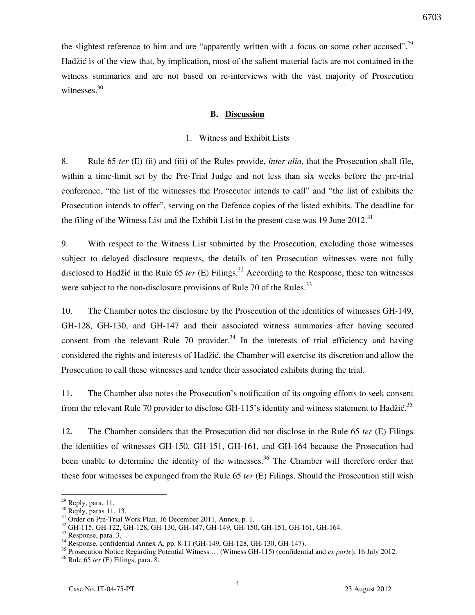the slightest reference to him and are "apparently written with a focus on some other accused".<sup>29</sup> Hadžić is of the view that, by implication, most of the salient material facts are not contained in the witness summaries and are not based on re-interviews with the vast majority of Prosecution witnesses. $30$ 

#### **B. Discussion**

#### 1. Witness and Exhibit Lists

8. Rule 65 *ter* (E) (ii) and (iii) of the Rules provide, *inter alia,* that the Prosecution shall file, within a time-limit set by the Pre-Trial Judge and not less than six weeks before the pre-trial conference, "the list of the witnesses the Prosecutor intends to call" and "the list of exhibits the Prosecution intends to offer", serving on the Defence copies of the listed exhibits. The deadline for the filing of the Witness List and the Exhibit List in the present case was 19 June  $2012$ .<sup>31</sup>

9. With respect to the Witness List submitted by the Prosecution, excluding those witnesses subject to delayed disclosure requests, the details of ten Prosecution witnesses were not fully disclosed to Hadžić in the Rule 65 *ter* (E) Filings.<sup>32</sup> According to the Response, these ten witnesses were subject to the non-disclosure provisions of Rule 70 of the Rules. $^{33}$ 

10. The Chamber notes the disclosure by the Prosecution of the identities of witnesses GH-149, GH-128, GH-130, and GH-147 and their associated witness summaries after having secured consent from the relevant Rule 70 provider.<sup>34</sup> In the interests of trial efficiency and having considered the rights and interests of Hadžić, the Chamber will exercise its discretion and allow the Prosecution to call these witnesses and tender their associated exhibits during the trial.

11. The Chamber also notes the Prosecution's notification of its ongoing efforts to seek consent from the relevant Rule 70 provider to disclose GH-115's identity and witness statement to Hadžić.<sup>35</sup>

12. The Chamber considers that the Prosecution did not disclose in the Rule 65 *ter* (E) Filings the identities of witnesses GH-150, GH-151, GH-161, and GH-164 because the Prosecution had been unable to determine the identity of the witnesses.<sup>36</sup> The Chamber will therefore order that these four witnesses be expunged from the Rule 65 *ter* (E) Filings. Should the Prosecution still wish

 $29$  Reply, para. 11.

 $30$  Reply, paras 11, 13.

 $31$  Order on Pre-Trial Work Plan, 16 December 2011, Annex, p. 1.

<sup>32</sup> GH-115, GH-122, GH-128, GH-130, GH-147, GH-149, GH-150, GH-151, GH-161, GH-164.

<sup>33</sup> Response, para. 3.

<sup>34</sup> Response, confidential Annex A, pp. 8-11 (GH-149, GH-128, GH-130, GH-147).

<sup>35</sup> Prosecution Notice Regarding Potential Witness … (Witness GH-115) (confidential and *ex parte*), 16 July 2012.

<sup>36</sup> Rule 65 *ter* (E) Filings, para. 8.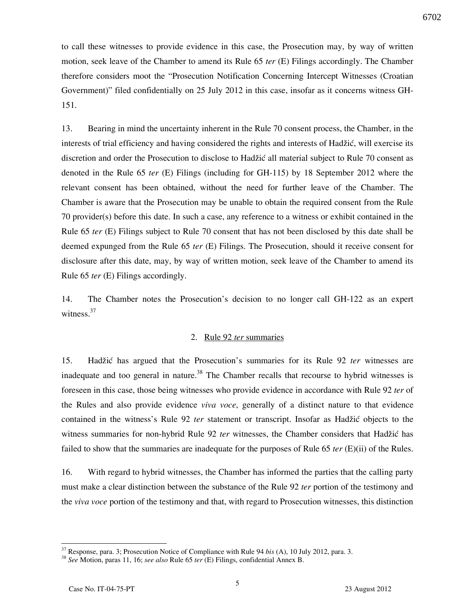to call these witnesses to provide evidence in this case, the Prosecution may, by way of written motion, seek leave of the Chamber to amend its Rule 65 *ter* (E) Filings accordingly. The Chamber therefore considers moot the "Prosecution Notification Concerning Intercept Witnesses (Croatian Government)" filed confidentially on 25 July 2012 in this case, insofar as it concerns witness GH-151.

13. Bearing in mind the uncertainty inherent in the Rule 70 consent process, the Chamber, in the interests of trial efficiency and having considered the rights and interests of Hadžić, will exercise its discretion and order the Prosecution to disclose to Hadžić all material subject to Rule 70 consent as denoted in the Rule 65 *ter* (E) Filings (including for GH-115) by 18 September 2012 where the relevant consent has been obtained, without the need for further leave of the Chamber. The Chamber is aware that the Prosecution may be unable to obtain the required consent from the Rule 70 provider(s) before this date. In such a case, any reference to a witness or exhibit contained in the Rule 65 *ter* (E) Filings subject to Rule 70 consent that has not been disclosed by this date shall be deemed expunged from the Rule 65 *ter* (E) Filings. The Prosecution, should it receive consent for disclosure after this date, may, by way of written motion, seek leave of the Chamber to amend its Rule 65 *ter* (E) Filings accordingly.

14. The Chamber notes the Prosecution's decision to no longer call GH-122 as an expert witness. $37$ 

### 2. Rule 92 *ter* summaries

15. Hadžić has argued that the Prosecution's summaries for its Rule 92 *ter* witnesses are inadequate and too general in nature.<sup>38</sup> The Chamber recalls that recourse to hybrid witnesses is foreseen in this case, those being witnesses who provide evidence in accordance with Rule 92 *ter* of the Rules and also provide evidence *viva voce*, generally of a distinct nature to that evidence contained in the witness's Rule 92 *ter* statement or transcript. Insofar as Hadžić objects to the witness summaries for non-hybrid Rule 92 *ter* witnesses, the Chamber considers that Hadžić has failed to show that the summaries are inadequate for the purposes of Rule 65 *ter* (E)(ii) of the Rules.

16. With regard to hybrid witnesses, the Chamber has informed the parties that the calling party must make a clear distinction between the substance of the Rule 92 *ter* portion of the testimony and the *viva voce* portion of the testimony and that, with regard to Prosecution witnesses, this distinction

<sup>37</sup> Response, para. 3; Prosecution Notice of Compliance with Rule 94 *bis* (A), 10 July 2012, para. 3.

<sup>38</sup> *See* Motion, paras 11, 16; *see also* Rule 65 *ter* (E) Filings, confidential Annex B.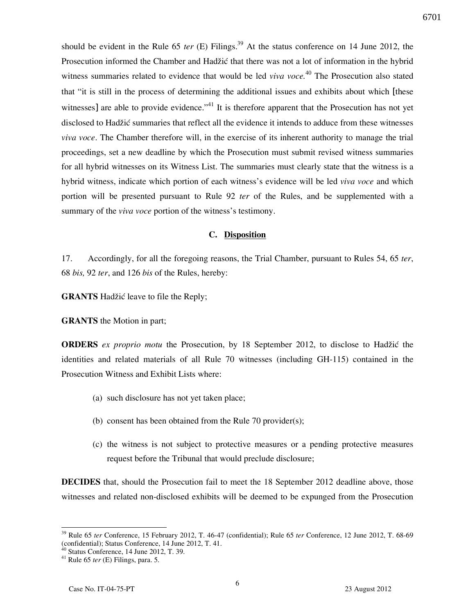should be evident in the Rule 65 *ter* (E) Filings.<sup>39</sup> At the status conference on 14 June 2012, the Prosecution informed the Chamber and Hadžić that there was not a lot of information in the hybrid witness summaries related to evidence that would be led *viva voce*.<sup>40</sup> The Prosecution also stated that "it is still in the process of determining the additional issues and exhibits about which [these witnesses] are able to provide evidence."<sup>41</sup> It is therefore apparent that the Prosecution has not yet disclosed to Hadžić summaries that reflect all the evidence it intends to adduce from these witnesses *viva voce*. The Chamber therefore will, in the exercise of its inherent authority to manage the trial proceedings, set a new deadline by which the Prosecution must submit revised witness summaries for all hybrid witnesses on its Witness List. The summaries must clearly state that the witness is a hybrid witness, indicate which portion of each witness's evidence will be led *viva voce* and which portion will be presented pursuant to Rule 92 *ter* of the Rules, and be supplemented with a summary of the *viva voce* portion of the witness's testimony.

### **C. Disposition**

17. Accordingly, for all the foregoing reasons, the Trial Chamber, pursuant to Rules 54, 65 *ter*, 68 *bis,* 92 *ter*, and 126 *bis* of the Rules, hereby:

**GRANTS** Hadžić leave to file the Reply;

**GRANTS** the Motion in part;

**ORDERS** *ex proprio motu* the Prosecution, by 18 September 2012, to disclose to Hadžić the identities and related materials of all Rule 70 witnesses (including GH-115) contained in the Prosecution Witness and Exhibit Lists where:

- (a) such disclosure has not yet taken place;
- (b) consent has been obtained from the Rule 70 provider(s);
- (c) the witness is not subject to protective measures or a pending protective measures request before the Tribunal that would preclude disclosure;

**DECIDES** that, should the Prosecution fail to meet the 18 September 2012 deadline above, those witnesses and related non-disclosed exhibits will be deemed to be expunged from the Prosecution

<sup>39</sup> Rule 65 *ter* Conference, 15 February 2012, T. 46-47 (confidential); Rule 65 *ter* Conference, 12 June 2012, T. 68-69 (confidential); Status Conference, 14 June 2012, T. 41.

 $40$  Status Conference, 14 June 2012, T. 39.

<sup>41</sup> Rule 65 *ter* (E) Filings, para. 5.